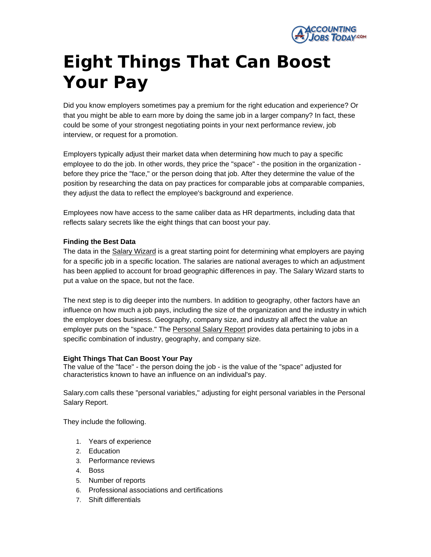

# **Eight Things That Can Boost Your Pay**

Did you know employers sometimes pay a premium for the right education and experience? Or that you might be able to earn more by doing the same job in a larger company? In fact, these could be some of your strongest negotiating points in your next performance review, job interview, or request for a promotion.

Employers typically adjust their market data when determining how much to pay a specific employee to do the job. In other words, they price the "space" - the position in the organization before they price the "face," or the person doing that job. After they determine the value of the position by researching the data on pay practices for comparable jobs at comparable companies, they adjust the data to reflect the employee's background and experience.

Employees now have access to the same caliber data as HR departments, including data that reflects salary secrets like the eight things that can boost your pay.

## **Finding the Best Data**

The data in the **Salary Wizard** is a great starting point for determining what employers are paying for a specific job in a specific location. The salaries are national averages to which an adjustment has been applied to account for broad geographic differences in pay. The Salary Wizard starts to put a value on the space, but not the face.

The next step is to dig deeper into the numbers. In addition to geography, other factors have an influence on how much a job pays, including the size of the organization and the industry in which the employer does business. Geography, company size, and industry all affect the value an employer puts on the "space." The [Personal Salary Report](https://secure.salary.com/salaryreport/layoutscripts/srpl_overview_pu.asp?r=article) provides data pertaining to jobs in a specific combination of industry, geography, and company size.

#### **Eight Things That Can Boost Your Pay**

The value of the "face" - the person doing the job - is the value of the "space" adjusted for characteristics known to have an influence on an individual's pay.

Salary.com calls these "personal variables," adjusting for eight personal variables in the Personal Salary Report.

They include the following.

- 1. Years of experience
- 2. Education
- 3. Performance reviews
- 4. Boss
- 5. Number of reports
- 6. Professional associations and certifications
- 7. Shift differentials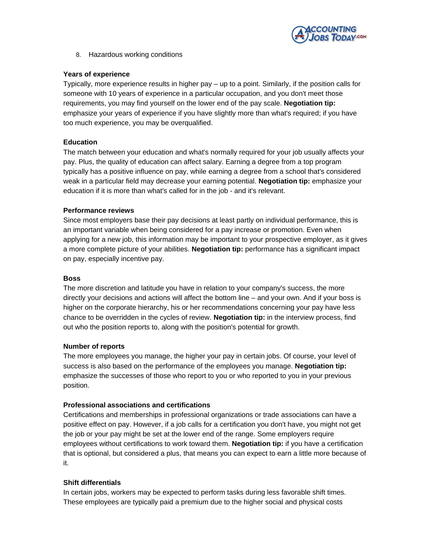

8. Hazardous working conditions

#### **Years of experience**

Typically, more experience results in higher pay – up to a point. Similarly, if the position calls for someone with 10 years of experience in a particular occupation, and you don't meet those requirements, you may find yourself on the lower end of the pay scale. **Negotiation tip:**  emphasize your years of experience if you have slightly more than what's required; if you have too much experience, you may be overqualified.

## **Education**

The match between your education and what's normally required for your job usually affects your pay. Plus, the quality of education can affect salary. Earning a degree from a top program typically has a positive influence on pay, while earning a degree from a school that's considered weak in a particular field may decrease your earning potential. **Negotiation tip:** emphasize your education if it is more than what's called for in the job - and it's relevant.

## **Performance reviews**

Since most employers base their pay decisions at least partly on individual performance, this is an important variable when being considered for a pay increase or promotion. Even when applying for a new job, this information may be important to your prospective employer, as it gives a more complete picture of your abilities. **Negotiation tip:** performance has a significant impact on pay, especially incentive pay.

## **Boss**

The more discretion and latitude you have in relation to your company's success, the more directly your decisions and actions will affect the bottom line – and your own. And if your boss is higher on the corporate hierarchy, his or her recommendations concerning your pay have less chance to be overridden in the cycles of review. **Negotiation tip:** in the interview process, find out who the position reports to, along with the position's potential for growth.

#### **Number of reports**

The more employees you manage, the higher your pay in certain jobs. Of course, your level of success is also based on the performance of the employees you manage. **Negotiation tip:**  emphasize the successes of those who report to you or who reported to you in your previous position.

## **Professional associations and certifications**

Certifications and memberships in professional organizations or trade associations can have a positive effect on pay. However, if a job calls for a certification you don't have, you might not get the job or your pay might be set at the lower end of the range. Some employers require employees without certifications to work toward them. **Negotiation tip:** if you have a certification that is optional, but considered a plus, that means you can expect to earn a little more because of it.

#### **Shift differentials**

In certain jobs, workers may be expected to perform tasks during less favorable shift times. These employees are typically paid a premium due to the higher social and physical costs